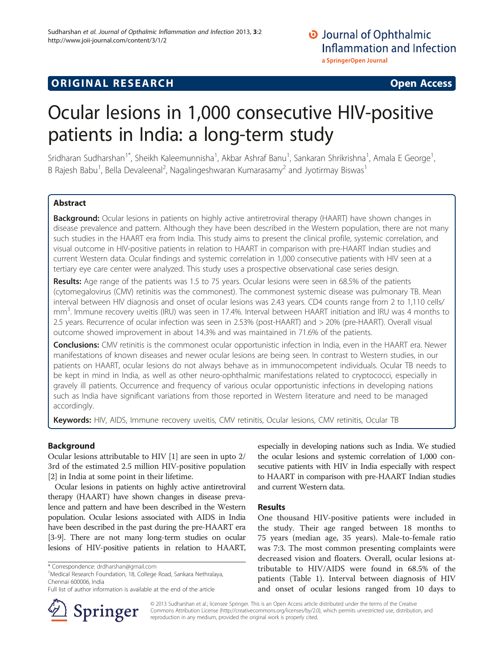## **ORIGINAL RESEARCH CONSUMING ACCESS**

# Ocular lesions in 1,000 consecutive HIV-positive patients in India: a long-term study

Sridharan Sudharshan<sup>1\*</sup>, Sheikh Kaleemunnisha<sup>1</sup>, Akbar Ashraf Banu<sup>1</sup>, Sankaran Shrikrishna<sup>1</sup>, Amala E George<sup>1</sup> , B Rajesh Babu<sup>1</sup>, Bella Devaleenal<sup>2</sup>, Nagalingeshwaran Kumarasamy<sup>2</sup> and Jyotirmay Biswas<sup>1</sup>

## Abstract

Background: Ocular lesions in patients on highly active antiretroviral therapy (HAART) have shown changes in disease prevalence and pattern. Although they have been described in the Western population, there are not many such studies in the HAART era from India. This study aims to present the clinical profile, systemic correlation, and visual outcome in HIV-positive patients in relation to HAART in comparison with pre-HAART Indian studies and current Western data. Ocular findings and systemic correlation in 1,000 consecutive patients with HIV seen at a tertiary eye care center were analyzed. This study uses a prospective observational case series design.

Results: Age range of the patients was 1.5 to 75 years. Ocular lesions were seen in 68.5% of the patients (cytomegalovirus (CMV) retinitis was the commonest). The commonest systemic disease was pulmonary TB. Mean interval between HIV diagnosis and onset of ocular lesions was 2.43 years. CD4 counts range from 2 to 1,110 cells/ mm<sup>3</sup> . Immune recovery uveitis (IRU) was seen in 17.4%. Interval between HAART initiation and IRU was 4 months to 2.5 years. Recurrence of ocular infection was seen in 2.53% (post-HAART) and > 20% (pre-HAART). Overall visual outcome showed improvement in about 14.3% and was maintained in 71.6% of the patients.

Conclusions: CMV retinitis is the commonest ocular opportunistic infection in India, even in the HAART era. Newer manifestations of known diseases and newer ocular lesions are being seen. In contrast to Western studies, in our patients on HAART, ocular lesions do not always behave as in immunocompetent individuals. Ocular TB needs to be kept in mind in India, as well as other neuro-ophthalmic manifestations related to cryptococci, especially in gravely ill patients. Occurrence and frequency of various ocular opportunistic infections in developing nations such as India have significant variations from those reported in Western literature and need to be managed accordingly.

Keywords: HIV, AIDS, Immune recovery uveitis, CMV retinitis, Ocular lesions, CMV retinitis, Ocular TB

## Background

Ocular lesions attributable to HIV [[1](#page-6-0)] are seen in upto 2/ 3rd of the estimated 2.5 million HIV-positive population [[2\]](#page-6-0) in India at some point in their lifetime.

Ocular lesions in patients on highly active antiretroviral therapy (HAART) have shown changes in disease prevalence and pattern and have been described in the Western population. Ocular lesions associated with AIDS in India have been described in the past during the pre-HAART era [[3](#page-6-0)-[9](#page-6-0)]. There are not many long-term studies on ocular lesions of HIV-positive patients in relation to HAART,

<sup>1</sup>Medical Research Foundation, 18, College Road, Sankara Nethralaya, Chennai 600006, India

Full list of author information is available at the end of the article



especially in developing nations such as India. We studied the ocular lesions and systemic correlation of 1,000 consecutive patients with HIV in India especially with respect to HAART in comparison with pre-HAART Indian studies and current Western data.

#### Results

One thousand HIV-positive patients were included in the study. Their age ranged between 18 months to 75 years (median age, 35 years). Male-to-female ratio was 7:3. The most common presenting complaints were decreased vision and floaters. Overall, ocular lesions attributable to HIV/AIDS were found in 68.5% of the patients (Table [1\)](#page-1-0). Interval between diagnosis of HIV and onset of ocular lesions ranged from 10 days to

© 2013 Sudharshan et al.; licensee Springer. This is an Open Access article distributed under the terms of the Creative Commons Attribution License (<http://creativecommons.org/licenses/by/2.0>), which permits unrestricted use, distribution, and reproduction in any medium, provided the original work is properly cited.

<sup>\*</sup> Correspondence: [drdharshan@gmail.com](mailto:drdharshan@gmail.com) <sup>1</sup>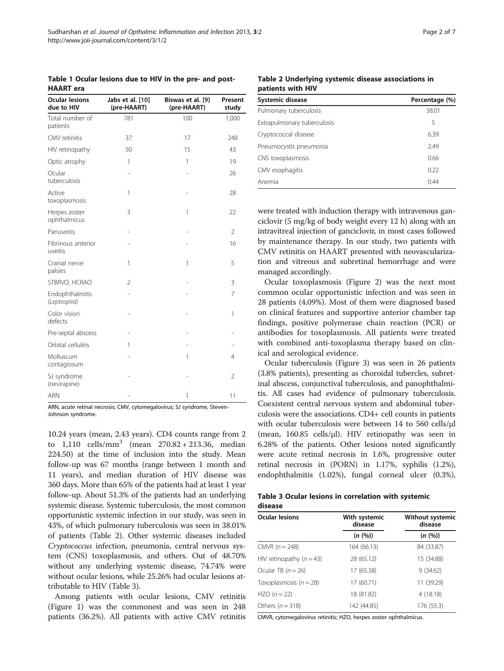<span id="page-1-0"></span>Table 1 Ocular lesions due to HIV in the pre- and post-HAART era

| <b>Ocular lesions</b><br>due to HIV | Jabs et al. [10]<br>(pre-HAART) | Biswas et al. [9]<br>(pre-HAART) |                |
|-------------------------------------|---------------------------------|----------------------------------|----------------|
| Total number of<br>patients         | 781                             | 100                              | 1,000          |
| CMV retinitis                       | 37                              | 17                               | 248            |
| HIV retinopathy                     | 50                              | 15                               | 43             |
| Optic atrophy                       | 1                               | 1                                | 19             |
| Ocular<br>tuberculosis              |                                 | $\overline{a}$                   | 26             |
| Active<br>toxoplasmosis             | 1                               |                                  | 28             |
| Herpes zoster<br>ophthalmicus       | 3                               | 1                                | 22             |
| Panuveitis                          |                                 |                                  | $\overline{2}$ |
| Fibrinous anterior<br>uveitis       |                                 |                                  | 16             |
| Cranial nerve<br>palsies            | 1<br>1                          |                                  | 5              |
| STBRVO, HCRAO                       | $\overline{\phantom{a}}$        |                                  | 3              |
| Endophthalmitis<br>(Leptospira)     |                                 |                                  | 7              |
| Color vision<br>defects             |                                 |                                  | 1              |
| Pre-septal abscess                  | $\overline{a}$                  |                                  |                |
| Orbital cellulitis                  | 1                               |                                  |                |
| Molluscum<br>contagiosum            | 1                               |                                  | 4              |
| SJ syndrome<br>(nevirapine)         |                                 |                                  | $\overline{2}$ |
| <b>ARN</b>                          |                                 | 1                                | 11             |

ARN, acute retinal necrosis; CMV, cytomegalovirus; SJ syndrome, Steven-Johnson syndrome.

10.24 years (mean, 2.43 years). CD4 counts range from 2 to  $1,110$  cells/mm<sup>3</sup> (mean  $270.82 + 213.36$ , median 224.50) at the time of inclusion into the study. Mean follow-up was 67 months (range between 1 month and 11 years), and median duration of HIV disease was 360 days. More than 65% of the patients had at least 1 year follow-up. About 51.3% of the patients had an underlying systemic disease. Systemic tuberculosis, the most common opportunistic systemic infection in our study, was seen in 43%, of which pulmonary tuberculosis was seen in 38.01% of patients (Table 2). Other systemic diseases included Cryptococcus infection, pneumonia, central nervous system (CNS) toxoplasmosis, and others. Out of 48.70% without any underlying systemic disease, 74.74% were without ocular lesions, while 25.26% had ocular lesions attributable to HIV (Table 3).

Among patients with ocular lesions, CMV retinitis (Figure [1\)](#page-2-0) was the commonest and was seen in 248 patients (36.2%). All patients with active CMV retinitis

Table 2 Underlying systemic disease associations in patients with HIV

| Systemic disease            | Percentage (%) |
|-----------------------------|----------------|
| Pulmonary tuberculosis      | 38.01          |
| Extrapulmonary tuberculosis | 5              |
| Cryptococcal disease        | 6.39           |
| Pneumocystis pneumonia      | 2.49           |
| CNS toxoplasmosis           | 0.66           |
| CMV esophagitis             | 0.22           |
| Anemia                      | 0.44           |

were treated with induction therapy with intravenous ganciclovir (5 mg/kg of body weight every 12 h) along with an intravitreal injection of ganciclovir, in most cases followed by maintenance therapy. In our study, two patients with CMV retinitis on HAART presented with neovascularization and vitreous and subretinal hemorrhage and were managed accordingly.

Ocular toxoplasmosis (Figure [2](#page-2-0)) was the next most common ocular opportunistic infection and was seen in 28 patients (4.09%). Most of them were diagnosed based on clinical features and supportive anterior chamber tap findings, positive polymerase chain reaction (PCR) or antibodies for toxoplasmosis. All patients were treated with combined anti-toxoplasma therapy based on clinical and serological evidence.

Ocular tuberculosis (Figure [3\)](#page-2-0) was seen in 26 patients (3.8% patients), presenting as choroidal tubercles, subretinal abscess, conjunctival tuberculosis, and panophthalmitis. All cases had evidence of pulmonary tuberculosis. Coexistent central nervous system and abdominal tuberculosis were the associations. CD4+ cell counts in patients with ocular tuberculosis were between 14 to 560 cells/μl (mean, 160.85 cells/μl). HIV retinopathy was seen in 6.28% of the patients. Other lesions noted significantly were acute retinal necrosis in 1.6%, progressive outer retinal necrosis in (PORN) in 1.17%, syphilis (1.2%), endophthalmitis (1.02%), fungal corneal ulcer (0.3%),

| Table 3 Ocular lesions in correlation with systemic |  |  |  |
|-----------------------------------------------------|--|--|--|
| disease                                             |  |  |  |

| <b>Ocular lesions</b>      | With systemic<br>disease | Without systemic<br>disease<br>(n (%)) |  |
|----------------------------|--------------------------|----------------------------------------|--|
|                            | (n (%))                  |                                        |  |
| CMVR $(n = 248)$           | 164 (66.13)              | 84 (33.87)                             |  |
| HIV retinopathy $(n = 43)$ | 28 (65.12)               | 15 (34.88)                             |  |
| Ocular TB $(n = 26)$       | 17 (65.38)               | 9(34.62)                               |  |
| Toxoplasmosis $(n = 28)$   | 17 (60.71)               | 11 (39.29)                             |  |
| $HZO (n = 22)$             | 18 (81.82)               | 4(18.18)                               |  |
| Others ( $n = 318$ )       | 142 (44.85)              | 176 (55.3)                             |  |

CMVR, cytomegalovirus retinitis; HZO, herpes zoster ophthalmicus.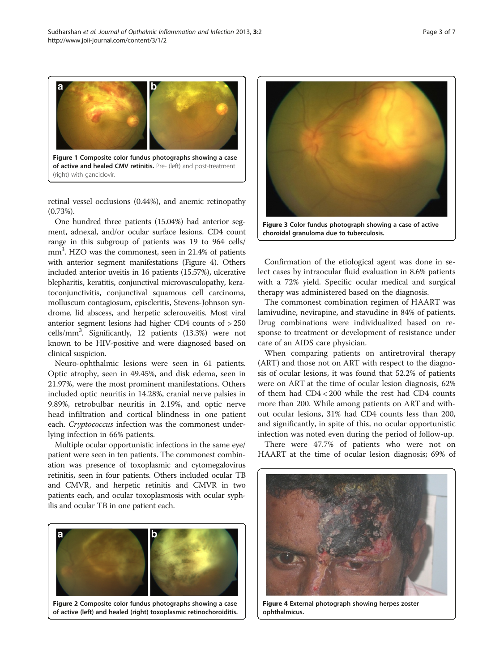<span id="page-2-0"></span>

retinal vessel occlusions (0.44%), and anemic retinopathy (0.73%).

One hundred three patients (15.04%) had anterior segment, adnexal, and/or ocular surface lesions. CD4 count range in this subgroup of patients was 19 to 964 cells/ mm<sup>3</sup>. HZO was the commonest, seen in 21.4% of patients with anterior segment manifestations (Figure 4). Others included anterior uveitis in 16 patients (15.57%), ulcerative blepharitis, keratitis, conjunctival microvasculopathy, keratoconjunctivitis, conjunctival squamous cell carcinoma, molluscum contagiosum, episcleritis, Stevens-Johnson syndrome, lid abscess, and herpetic sclerouveitis. Most viral anterior segment lesions had higher CD4 counts of > 250 cells/mm3 . Significantly, 12 patients (13.3%) were not known to be HIV-positive and were diagnosed based on clinical suspicion.

Neuro-ophthalmic lesions were seen in 61 patients. Optic atrophy, seen in 49.45%, and disk edema, seen in 21.97%, were the most prominent manifestations. Others included optic neuritis in 14.28%, cranial nerve palsies in 9.89%, retrobulbar neuritis in 2.19%, and optic nerve head infiltration and cortical blindness in one patient each. Cryptococcus infection was the commonest underlying infection in 66% patients.

Multiple ocular opportunistic infections in the same eye/ patient were seen in ten patients. The commonest combination was presence of toxoplasmic and cytomegalovirus retinitis, seen in four patients. Others included ocular TB and CMVR, and herpetic retinitis and CMVR in two patients each, and ocular toxoplasmosis with ocular syphilis and ocular TB in one patient each.



Figure 2 Composite color fundus photographs showing a case of active (left) and healed (right) toxoplasmic retinochoroiditis.



Confirmation of the etiological agent was done in select cases by intraocular fluid evaluation in 8.6% patients with a 72% yield. Specific ocular medical and surgical therapy was administered based on the diagnosis.

The commonest combination regimen of HAART was lamivudine, nevirapine, and stavudine in 84% of patients. Drug combinations were individualized based on response to treatment or development of resistance under care of an AIDS care physician.

When comparing patients on antiretroviral therapy (ART) and those not on ART with respect to the diagnosis of ocular lesions, it was found that 52.2% of patients were on ART at the time of ocular lesion diagnosis, 62% of them had CD4 < 200 while the rest had CD4 counts more than 200. While among patients on ART and without ocular lesions, 31% had CD4 counts less than 200, and significantly, in spite of this, no ocular opportunistic infection was noted even during the period of follow-up.

There were 47.7% of patients who were not on HAART at the time of ocular lesion diagnosis; 69% of



Figure 4 External photograph showing herpes zoster ophthalmicus.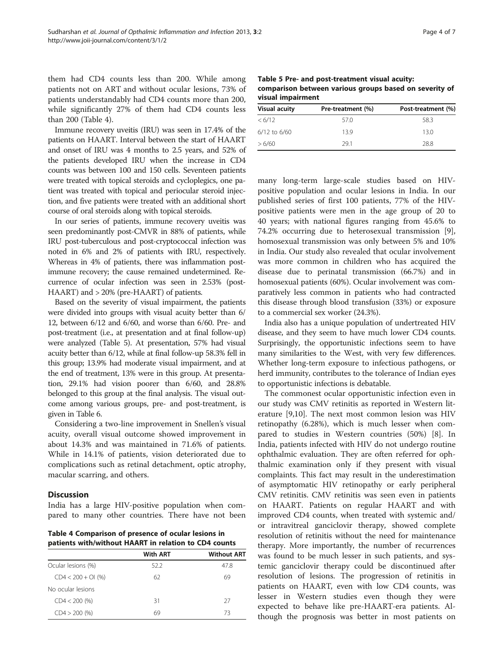them had CD4 counts less than 200. While among patients not on ART and without ocular lesions, 73% of patients understandably had CD4 counts more than 200, while significantly 27% of them had CD4 counts less than 200 (Table 4).

Immune recovery uveitis (IRU) was seen in 17.4% of the patients on HAART. Interval between the start of HAART and onset of IRU was 4 months to 2.5 years, and 52% of the patients developed IRU when the increase in CD4 counts was between 100 and 150 cells. Seventeen patients were treated with topical steroids and cycloplegics, one patient was treated with topical and periocular steroid injection, and five patients were treated with an additional short course of oral steroids along with topical steroids.

In our series of patients, immune recovery uveitis was seen predominantly post-CMVR in 88% of patients, while IRU post-tuberculous and post-cryptococcal infection was noted in 6% and 2% of patients with IRU, respectively. Whereas in 4% of patients, there was inflammation postimmune recovery; the cause remained undetermined. Recurrence of ocular infection was seen in 2.53% (post-HAART) and > 20% (pre-HAART) of patients.

Based on the severity of visual impairment, the patients were divided into groups with visual acuity better than 6/ 12, between 6/12 and 6/60, and worse than 6/60. Pre- and post-treatment (i.e., at presentation and at final follow-up) were analyzed (Table 5). At presentation, 57% had visual acuity better than 6/12, while at final follow-up 58.3% fell in this group; 13.9% had moderate visual impairment, and at the end of treatment, 13% were in this group. At presentation, 29.1% had vision poorer than 6/60, and 28.8% belonged to this group at the final analysis. The visual outcome among various groups, pre- and post-treatment, is given in Table [6.](#page-4-0)

Considering a two-line improvement in Snellen's visual acuity, overall visual outcome showed improvement in about 14.3% and was maintained in 71.6% of patients. While in 14.1% of patients, vision deteriorated due to complications such as retinal detachment, optic atrophy, macular scarring, and others.

#### **Discussion**

India has a large HIV-positive population when compared to many other countries. There have not been

Table 4 Comparison of presence of ocular lesions in patients with/without HAART in relation to CD4 counts

|                      | <b>With ART</b> | <b>Without ART</b> |  |
|----------------------|-----------------|--------------------|--|
| Ocular lesions (%)   | 52.2            | 47.8               |  |
| $CD4 < 200 + O1$ (%) | 62              | 69                 |  |
| No ocular lesions    |                 |                    |  |
| $CD4 < 200$ (%)      | 31              | 27                 |  |
| $CD4 > 200$ (%)      | 69              | 73                 |  |

Table 5 Pre- and post-treatment visual acuity: comparison between various groups based on severity of visual impairment

| <b>Visual acuity</b> | Pre-treatment (%) | Post-treatment (%) |  |  |
|----------------------|-------------------|--------------------|--|--|
| < 6/12               | 57.0              | 58.3               |  |  |
| 6/12 to 6/60         | 139               | 13.0               |  |  |
| > 6/60               | 291               | 28.8               |  |  |

many long-term large-scale studies based on HIVpositive population and ocular lesions in India. In our published series of first 100 patients, 77% of the HIVpositive patients were men in the age group of 20 to 40 years; with national figures ranging from 45.6% to 74.2% occurring due to heterosexual transmission [\[9](#page-6-0)], homosexual transmission was only between 5% and 10% in India. Our study also revealed that ocular involvement was more common in children who has acquired the disease due to perinatal transmission (66.7%) and in homosexual patients (60%). Ocular involvement was comparatively less common in patients who had contracted this disease through blood transfusion (33%) or exposure to a commercial sex worker (24.3%).

India also has a unique population of undertreated HIV disease, and they seem to have much lower CD4 counts. Surprisingly, the opportunistic infections seem to have many similarities to the West, with very few differences. Whether long-term exposure to infectious pathogens, or herd immunity, contributes to the tolerance of Indian eyes to opportunistic infections is debatable.

The commonest ocular opportunistic infection even in our study was CMV retinitis as reported in Western literature [[9,10\]](#page-6-0). The next most common lesion was HIV retinopathy (6.28%), which is much lesser when compared to studies in Western countries (50%) [[8](#page-6-0)]. In India, patients infected with HIV do not undergo routine ophthalmic evaluation. They are often referred for ophthalmic examination only if they present with visual complaints. This fact may result in the underestimation of asymptomatic HIV retinopathy or early peripheral CMV retinitis. CMV retinitis was seen even in patients on HAART. Patients on regular HAART and with improved CD4 counts, when treated with systemic and/ or intravitreal ganciclovir therapy, showed complete resolution of retinitis without the need for maintenance therapy. More importantly, the number of recurrences was found to be much lesser in such patients, and systemic ganciclovir therapy could be discontinued after resolution of lesions. The progression of retinitis in patients on HAART, even with low CD4 counts, was lesser in Western studies even though they were expected to behave like pre-HAART-era patients. Although the prognosis was better in most patients on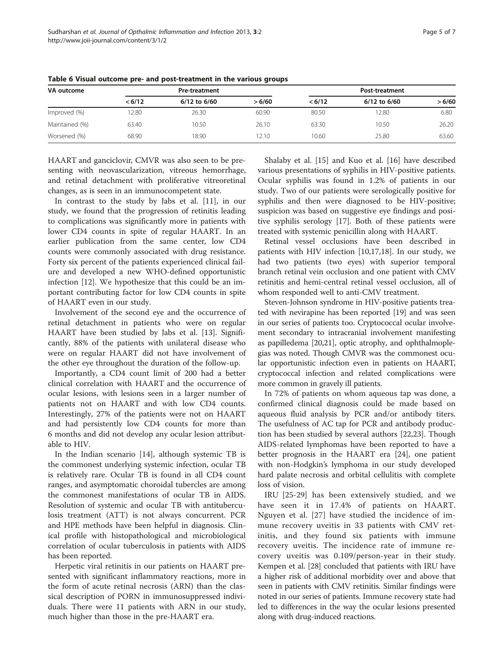| VA outcome     | Pre-treatment |              |        | Post-treatment |                  |        |
|----------------|---------------|--------------|--------|----------------|------------------|--------|
|                | < 6/12        | 6/12 to 6/60 | > 6/60 | < 6/12         | $6/12$ to $6/60$ | > 6/60 |
| Improved (%)   | 2.80          | 26.30        | 60.90  | 80.50          | 2.80             | 6.80   |
| Maintained (%) | 63.40         | 10.50        | 26.10  | 63.30          | 10.50            | 26.20  |
| Worsened (%)   | 68.90         | 18.90        | 12.10  | 10.60          | 25.80            | 63.60  |

<span id="page-4-0"></span>Table 6 Visual outcome pre- and post-treatment in the various groups

HAART and ganciclovir, CMVR was also seen to be presenting with neovascularization, vitreous hemorrhage, and retinal detachment with proliferative vitreoretinal changes, as is seen in an immunocompetent state.

In contrast to the study by Jabs et al. [[11\]](#page-6-0), in our study, we found that the progression of retinitis leading to complications was significantly more in patients with lower CD4 counts in spite of regular HAART. In an earlier publication from the same center, low CD4 counts were commonly associated with drug resistance. Forty six percent of the patients experienced clinical failure and developed a new WHO-defined opportunistic infection [\[12\]](#page-6-0). We hypothesize that this could be an important contributing factor for low CD4 counts in spite of HAART even in our study.

Involvement of the second eye and the occurrence of retinal detachment in patients who were on regular HAART have been studied by Jabs et al. [\[13](#page-6-0)]. Significantly, 88% of the patients with unilateral disease who were on regular HAART did not have involvement of the other eye throughout the duration of the follow-up.

Importantly, a CD4 count limit of 200 had a better clinical correlation with HAART and the occurrence of ocular lesions, with lesions seen in a larger number of patients not on HAART and with low CD4 counts. Interestingly, 27% of the patients were not on HAART and had persistently low CD4 counts for more than 6 months and did not develop any ocular lesion attributable to HIV.

In the Indian scenario [[14\]](#page-6-0), although systemic TB is the commonest underlying systemic infection, ocular TB is relatively rare. Ocular TB is found in all CD4 count ranges, and asymptomatic choroidal tubercles are among the commonest manifestations of ocular TB in AIDS. Resolution of systemic and ocular TB with antituberculosis treatment (ATT) is not always concurrent. PCR and HPE methods have been helpful in diagnosis. Clinical profile with histopathological and microbiological correlation of ocular tuberculosis in patients with AIDS has been reported.

Herpetic viral retinitis in our patients on HAART presented with significant inflammatory reactions, more in the form of acute retinal necrosis (ARN) than the classical description of PORN in immunosuppressed individuals. There were 11 patients with ARN in our study, much higher than those in the pre-HAART era.

Shalaby et al. [[15\]](#page-6-0) and Kuo et al. [\[16](#page-6-0)] have described various presentations of syphilis in HIV-positive patients. Ocular syphilis was found in 1.2% of patients in our study. Two of our patients were serologically positive for syphilis and then were diagnosed to be HIV-positive; suspicion was based on suggestive eye findings and positive syphilis serology [\[17](#page-6-0)]. Both of these patients were treated with systemic penicillin along with HAART.

Retinal vessel occlusions have been described in patients with HIV infection [[10,17,18](#page-6-0)]. In our study, we had two patients (two eyes) with superior temporal branch retinal vein occlusion and one patient with CMV retinitis and hemi-central retinal vessel occlusion, all of whom responded well to anti-CMV treatment.

Steven-Johnson syndrome in HIV-positive patients treated with nevirapine has been reported [[19](#page-6-0)] and was seen in our series of patients too. Cryptococcal ocular involvement secondary to intracranial involvement manifesting as papilledema [\[20,21\]](#page-6-0), optic atrophy, and ophthalmoplegias was noted. Though CMVR was the commonest ocular opportunistic infection even in patients on HAART, cryptococcal infection and related complications were more common in gravely ill patients.

In 72% of patients on whom aqueous tap was done, a confirmed clinical diagnosis could be made based on aqueous fluid analysis by PCR and/or antibody titers. The usefulness of AC tap for PCR and antibody production has been studied by several authors [\[22,23\]](#page-6-0). Though AIDS-related lymphomas have been reported to have a better prognosis in the HAART era [[24\]](#page-6-0), one patient with non-Hodgkin's lymphoma in our study developed hard palate necrosis and orbital cellulitis with complete loss of vision.

IRU [[25-29](#page-6-0)] has been extensively studied, and we have seen it in 17.4% of patients on HAART. Nguyen et al. [[27\]](#page-6-0) have studied the incidence of immune recovery uveitis in 33 patients with CMV retinitis, and they found six patients with immune recovery uveitis. The incidence rate of immune recovery uveitis was 0.109/person-year in their study. Kempen et al. [\[28\]](#page-6-0) concluded that patients with IRU have a higher risk of additional morbidity over and above that seen in patients with CMV retinitis. Similar findings were noted in our series of patients. Immune recovery state had led to differences in the way the ocular lesions presented along with drug-induced reactions.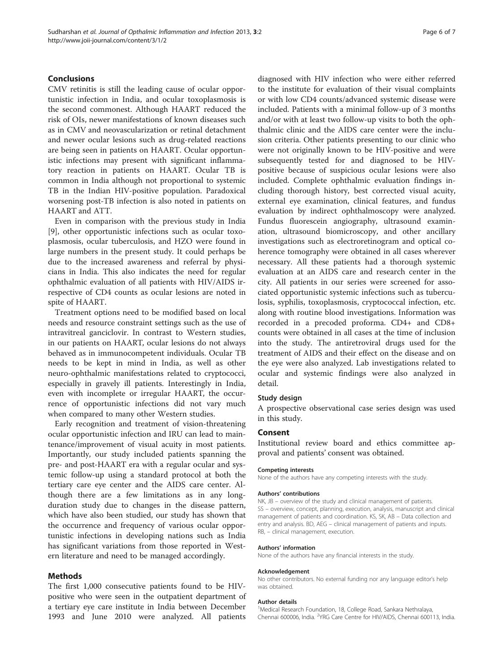## Conclusions

CMV retinitis is still the leading cause of ocular opportunistic infection in India, and ocular toxoplasmosis is the second commonest. Although HAART reduced the risk of OIs, newer manifestations of known diseases such as in CMV and neovascularization or retinal detachment and newer ocular lesions such as drug-related reactions are being seen in patients on HAART. Ocular opportunistic infections may present with significant inflammatory reaction in patients on HAART. Ocular TB is common in India although not proportional to systemic TB in the Indian HIV-positive population. Paradoxical worsening post-TB infection is also noted in patients on HAART and ATT.

Even in comparison with the previous study in India [[9\]](#page-6-0), other opportunistic infections such as ocular toxoplasmosis, ocular tuberculosis, and HZO were found in large numbers in the present study. It could perhaps be due to the increased awareness and referral by physicians in India. This also indicates the need for regular ophthalmic evaluation of all patients with HIV/AIDS irrespective of CD4 counts as ocular lesions are noted in spite of HAART.

Treatment options need to be modified based on local needs and resource constraint settings such as the use of intravitreal ganciclovir. In contrast to Western studies, in our patients on HAART, ocular lesions do not always behaved as in immunocompetent individuals. Ocular TB needs to be kept in mind in India, as well as other neuro-ophthalmic manifestations related to cryptococci, especially in gravely ill patients. Interestingly in India, even with incomplete or irregular HAART, the occurrence of opportunistic infections did not vary much when compared to many other Western studies.

Early recognition and treatment of vision-threatening ocular opportunistic infection and IRU can lead to maintenance/improvement of visual acuity in most patients. Importantly, our study included patients spanning the pre- and post-HAART era with a regular ocular and systemic follow-up using a standard protocol at both the tertiary care eye center and the AIDS care center. Although there are a few limitations as in any longduration study due to changes in the disease pattern, which have also been studied, our study has shown that the occurrence and frequency of various ocular opportunistic infections in developing nations such as India has significant variations from those reported in Western literature and need to be managed accordingly.

#### Methods

The first 1,000 consecutive patients found to be HIVpositive who were seen in the outpatient department of a tertiary eye care institute in India between December 1993 and June 2010 were analyzed. All patients

diagnosed with HIV infection who were either referred to the institute for evaluation of their visual complaints or with low CD4 counts/advanced systemic disease were included. Patients with a minimal follow-up of 3 months and/or with at least two follow-up visits to both the ophthalmic clinic and the AIDS care center were the inclusion criteria. Other patients presenting to our clinic who were not originally known to be HIV-positive and were subsequently tested for and diagnosed to be HIVpositive because of suspicious ocular lesions were also included. Complete ophthalmic evaluation findings including thorough history, best corrected visual acuity, external eye examination, clinical features, and fundus evaluation by indirect ophthalmoscopy were analyzed. Fundus fluorescein angiography, ultrasound examination, ultrasound biomicroscopy, and other ancillary investigations such as electroretinogram and optical coherence tomography were obtained in all cases wherever necessary. All these patients had a thorough systemic evaluation at an AIDS care and research center in the city. All patients in our series were screened for associated opportunistic systemic infections such as tuberculosis, syphilis, toxoplasmosis, cryptococcal infection, etc. along with routine blood investigations. Information was recorded in a precoded proforma. CD4+ and CD8+ counts were obtained in all cases at the time of inclusion into the study. The antiretroviral drugs used for the treatment of AIDS and their effect on the disease and on the eye were also analyzed. Lab investigations related to ocular and systemic findings were also analyzed in detail.

#### Study design

A prospective observational case series design was used in this study.

## Consent

Institutional review board and ethics committee approval and patients' consent was obtained.

#### Competing interests

None of the authors have any competing interests with the study.

#### Authors' contributions

NK, JB – overview of the study and clinical management of patients. SS – overview, concept, planning, execution, analysis, manuscript and clinical management of patients and coordination. KS, SK, AB – Data collection and entry and analysis. BD, AEG – clinical management of patients and inputs. RB, – clinical management, execution.

#### Authors' information

None of the authors have any financial interests in the study.

#### Acknowledgement

No other contributors. No external funding nor any language editor's help was obtained.

#### Author details

<sup>1</sup>Medical Research Foundation, 18, College Road, Sankara Nethralaya Chennai 600006, India. <sup>2</sup>YRG Care Centre for HIV/AIDS, Chennai 600113, India